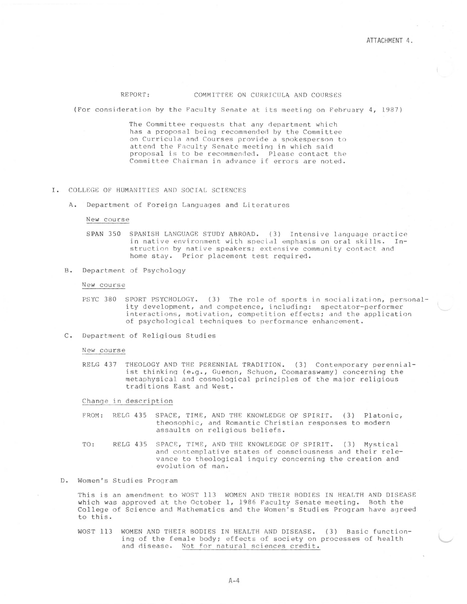# REPORT: COMMITTEE ON CURRICULA AND COURSES

(For consideration by the Faculty Senate at its meeting on February 4, 1987)

The Committee requests that any department which has a proposal being recommended by the Committee on Curricula and Courses provide a spokesperson to attend the Faculty Senate meetinq in which said proposal is to be recommended. Please contact the Committee Chairman in advance if errors are noted.

## I. COLLEGE OF HUMANITIES AND SOCIAL SCIENCES

A. Department of Foreign Languages and Literatures

### New course

- SPAN 350 SPANISH LANGUAGE STUDY ABROAD. (3) Intensive language practice in native environment with special emphasis on oral skills. Instruction by native speakers; extensive community contact and home stay. Prior placement test required.
- B. Department of Psychology

### New course

- PSYC 380 SPORT PSYCHOLOGY. (3) The role of sports in socialization, personality development, and competence, including: spectator-performer interactions, motivation, competition effects; and the application of psychological techniques to performance enhancement.
- C. Department of Religious Studies

#### New course

RELG 437 THEOLOGY AND THE PERENNIAL TRADITION. ( 3) Contemporary perennialist thinking (e.g., Guenon, Schuon, Coomaraswamy) concerning the metaphysical and cosmological principles of the major religious traditions East and West.

Change in description

- FROM: RELG 435 SPACE, TIME, AND THE KNOWLEDGE OF SPIRIT. (3) Platonic, theosophic, and Romantic Christian responses to modern assaults on religious beliefs.
- TO: RELG 435 SPACE, TIME, AND THE KNOWLEDGE OF SPIRIT. (3) Mystical and contemplative states of consciousness and their relevance to theological inquiry concerning the creation and evolution of man.
- D. Women's Studies Program

This is an amendment to WOST 113 WOMEN AND THEIR BODIES IN HEALTH AND DISEASE which was approved at the October 1, 1986 Faculty Senate meeting. Both the College of Science and Mathematics and the Women's Studies Program have agreed to this.

WOST 113 WOMEN AND THEIR BODIES IN HEALTH AND DISEASE. (3) Basic functioning of the female body; effects of society on processes of health and disease. Not for natural sciences credit.